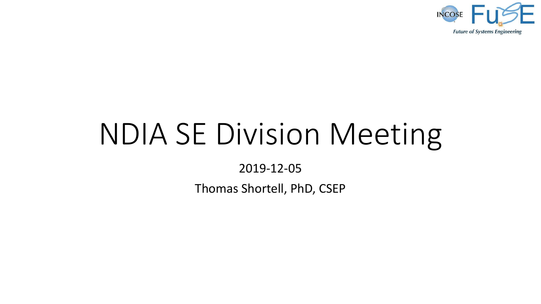

# NDIA SE Division Meeting

2019-12-05

Thomas Shortell, PhD, CSEP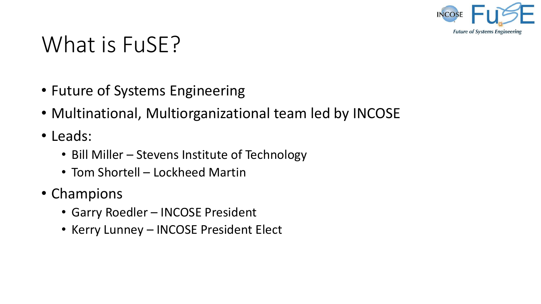

## What is FuSE?

- Future of Systems Engineering
- Multinational, Multiorganizational team led by INCOSE
- Leads:
	- Bill Miller Stevens Institute of Technology
	- Tom Shortell Lockheed Martin
- Champions
	- Garry Roedler INCOSE President
	- Kerry Lunney INCOSE President Elect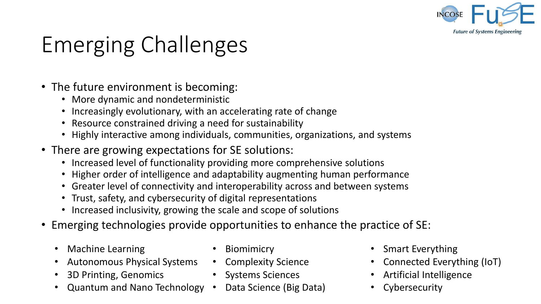

# Emerging Challenges

- The future environment is becoming:
	- More dynamic and nondeterministic
	- Increasingly evolutionary, with an accelerating rate of change
	- Resource constrained driving a need for sustainability
	- Highly interactive among individuals, communities, organizations, and systems
- There are growing expectations for SE solutions:
	- Increased level of functionality providing more comprehensive solutions
	- Higher order of intelligence and adaptability augmenting human performance
	- Greater level of connectivity and interoperability across and between systems
	- Trust, safety, and cybersecurity of digital representations
	- Increased inclusivity, growing the scale and scope of solutions
- Emerging technologies provide opportunities to enhance the practice of SE:
	- Machine Learning
	- Autonomous Physical Systems
	- 3D Printing, Genomics
	- Quantum and Nano Technology Data Science (Big Data)
- Biomimicry
- Complexity Science
- Systems Sciences
	-
- Smart Everything
- Connected Everything (IoT)
- Artificial Intelligence
- Cybersecurity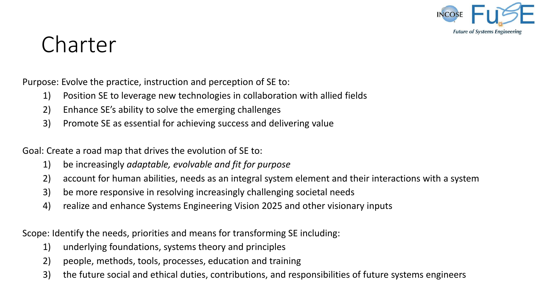

## Charter

Purpose: Evolve the practice, instruction and perception of SE to:

- 1) Position SE to leverage new technologies in collaboration with allied fields
- 2) Enhance SE's ability to solve the emerging challenges
- 3) Promote SE as essential for achieving success and delivering value

Goal: Create a road map that drives the evolution of SE to:

- 1) be increasingly *adaptable, evolvable and fit for purpose*
- 2) account for human abilities, needs as an integral system element and their interactions with a system
- 3) be more responsive in resolving increasingly challenging societal needs
- 4) realize and enhance Systems Engineering Vision 2025 and other visionary inputs

Scope: Identify the needs, priorities and means for transforming SE including:

- 1) underlying foundations, systems theory and principles
- 2) people, methods, tools, processes, education and training
- 3) the future social and ethical duties, contributions, and responsibilities of future systems engineers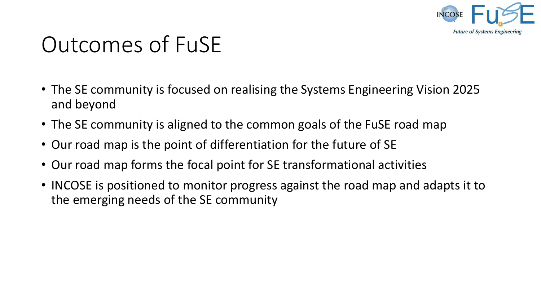

# Outcomes of FuSE

- The SE community is focused on realising the Systems Engineering Vision 2025 and beyond
- The SE community is aligned to the common goals of the FuSE road map
- Our road map is the point of differentiation for the future of SE
- Our road map forms the focal point for SE transformational activities
- INCOSE is positioned to monitor progress against the road map and adapts it to the emerging needs of the SE community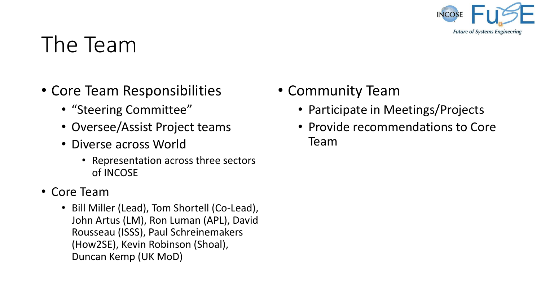

## The Team

- Core Team Responsibilities
	- "Steering Committee"
	- Oversee/Assist Project teams
	- Diverse across World
		- Representation across three sectors of INCOSE
- Core Team
	- Bill Miller (Lead), Tom Shortell (Co-Lead), John Artus (LM), Ron Luman (APL), David Rousseau (ISSS), Paul Schreinemakers (How2SE), Kevin Robinson (Shoal), Duncan Kemp (UK MoD)
- Community Team
	- Participate in Meetings/Projects
	- Provide recommendations to Core Team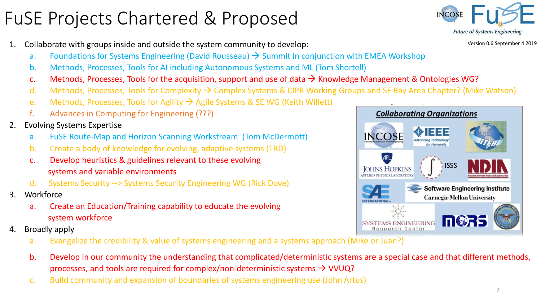#### FuSE Projects Chartered & Proposed

- 1. Collaborate with groups inside and outside the system community to develop:
	- a. Foundations for Systems Engineering (David Rousseau)  $\rightarrow$  Summit in conjunction with EMEA Workshop
	- b. Methods, Processes, Tools for AI including Autonomous Systems and ML (Tom Shortell)
	- c. Methods, Processes, Tools for the acquisition, support and use of data  $\rightarrow$  Knowledge Management & Ontologies WG?
	- d. Methods, Processes, Tools for Complexity  $\rightarrow$  Complex Systems & CIPR Working Groups and SF Bay Area Chapter? (Mike Watson)
	- e. Methods, Processes, Tools for Agility  $\rightarrow$  Agile Systems & SE WG (Keith Willett)
	- f. Advances in Computing for Engineering (???)
- 2. Evolving Systems Expertise
	- a. FuSE Route-Map and Horizon Scanning Workstream (Tom McDermott)
	- b. Create a body of knowledge for evolving, adaptive systems (TBD)
	- c. Develop heuristics & guidelines relevant to these evolving systems and variable environments
	- d. Systems Security --> Systems Security Engineering WG (Rick Dove)
- 3. Workforce
	- a. Create an Education/Training capability to educate the evolving system workforce
- 4. Broadly apply
	- a. Evangelize the credibility & value of systems engineering and a systems approach (Mike or Juan?)
	- b. Develop in our community the understanding that complicated/deterministic systems are a special case and that different methods, processes, and tools are required for complex/non-deterministic systems  $\rightarrow$  VVUQ?
	- c. Build community and expansion of boundaries of systems engineering use (John Artus)



Version 0.6 September 4 2019

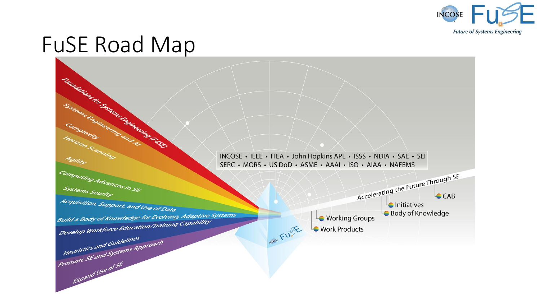

## FuSE Road Map

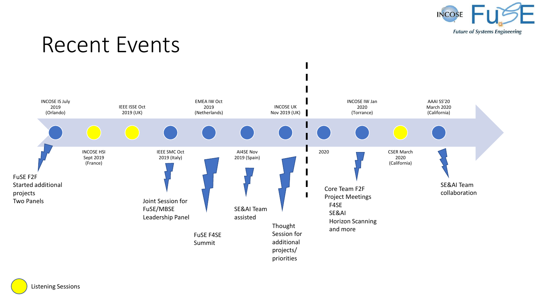

## Recent Events



Listening Sessions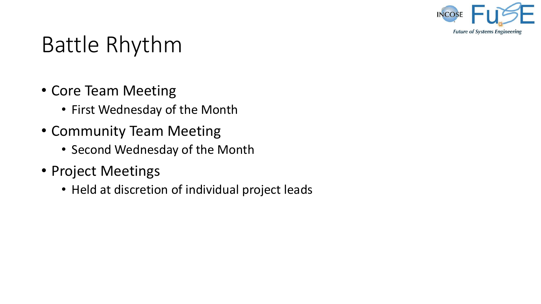

# Battle Rhythm

- Core Team Meeting
	- First Wednesday of the Month
- Community Team Meeting
	- Second Wednesday of the Month
- Project Meetings
	- Held at discretion of individual project leads